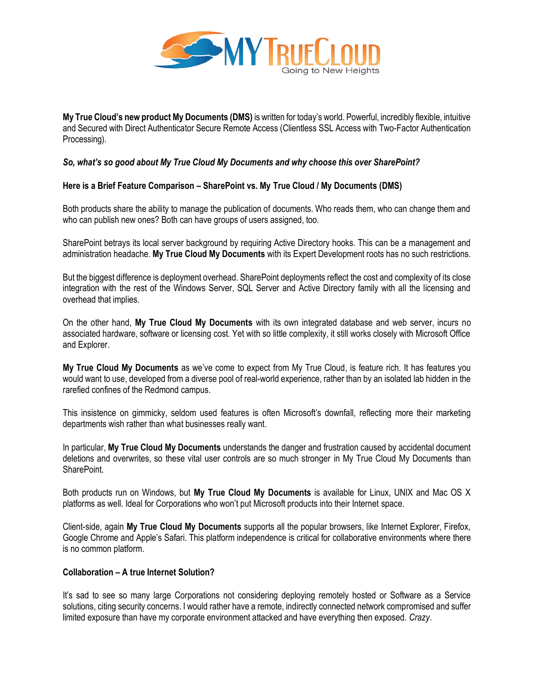

**My True Cloud's new product My Documents (DMS)** is written for today's world. Powerful, incredibly flexible, intuitive and Secured with Direct Authenticator Secure Remote Access (Clientless SSL Access with Two-Factor Authentication Processing).

# *So, what's so good about My True Cloud My Documents and why choose this over SharePoint?*

# **Here is a Brief Feature Comparison – SharePoint vs. My True Cloud / My Documents (DMS)**

Both products share the ability to manage the publication of documents. Who reads them, who can change them and who can publish new ones? Both can have groups of users assigned, too.

SharePoint betrays its local server background by requiring Active Directory hooks. This can be a management and administration headache. **My True Cloud My Documents** with its Expert Development roots has no such restrictions.

But the biggest difference is deployment overhead. SharePoint deployments reflect the cost and complexity of its close integration with the rest of the Windows Server, SQL Server and Active Directory family with all the licensing and overhead that implies.

On the other hand, **My True Cloud My Documents** with its own integrated database and web server, incurs no associated hardware, software or licensing cost. Yet with so little complexity, it still works closely with Microsoft Office and Explorer.

**My True Cloud My Documents** as we've come to expect from My True Cloud, is feature rich. It has features you would want to use, developed from a diverse pool of real-world experience, rather than by an isolated lab hidden in the rarefied confines of the Redmond campus.

This insistence on gimmicky, seldom used features is often Microsoft's downfall, reflecting more their marketing departments wish rather than what businesses really want.

In particular, **My True Cloud My Documents** understands the danger and frustration caused by accidental document deletions and overwrites, so these vital user controls are so much stronger in My True Cloud My Documents than SharePoint.

Both products run on Windows, but **My True Cloud My Documents** is available for Linux, UNIX and Mac OS X platforms as well. Ideal for Corporations who won't put Microsoft products into their Internet space.

Client-side, again **My True Cloud My Documents** supports all the popular browsers, like Internet Explorer, Firefox, Google Chrome and Apple's Safari. This platform independence is critical for collaborative environments where there is no common platform.

## **Collaboration – A true Internet Solution?**

It's sad to see so many large Corporations not considering deploying remotely hosted or Software as a Service solutions, citing security concerns. I would rather have a remote, indirectly connected network compromised and suffer limited exposure than have my corporate environment attacked and have everything then exposed. *Crazy*.